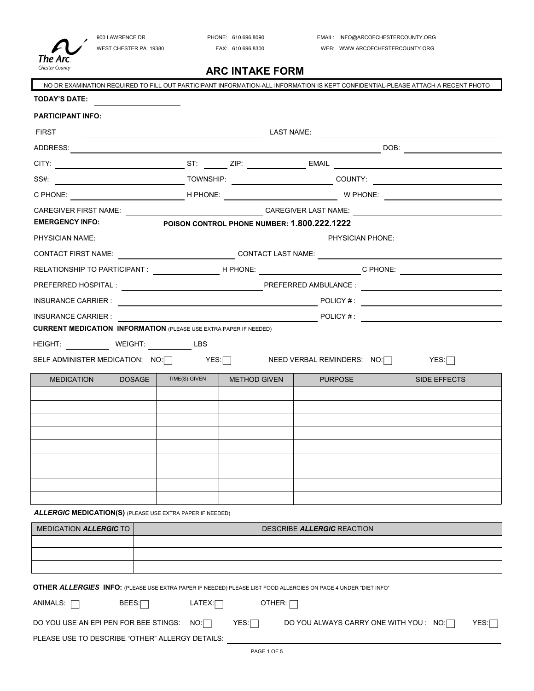

**ARC INTAKE FORM**

|                                                                                                                                 |        |                                                                                                                       |                                             |                                                                                                                 | NO DR EXAMINATION REQUIRED TO FILL OUT PARTICIPANT INFORMATION-ALL INFORMATION IS KEPT CONFIDENTIAL-PLEASE ATTACH A RECENT PHOTO |  |
|---------------------------------------------------------------------------------------------------------------------------------|--------|-----------------------------------------------------------------------------------------------------------------------|---------------------------------------------|-----------------------------------------------------------------------------------------------------------------|----------------------------------------------------------------------------------------------------------------------------------|--|
| <b>TODAY'S DATE:</b>                                                                                                            |        |                                                                                                                       |                                             |                                                                                                                 |                                                                                                                                  |  |
| <b>PARTICIPANT INFO:</b>                                                                                                        |        |                                                                                                                       |                                             |                                                                                                                 |                                                                                                                                  |  |
| <b>FIRST</b>                                                                                                                    |        | <u> 1980 - Jan Samuel Barbara, político establecido en la contrada de la contrada de la contrada de la contrada d</u> |                                             | LAST NAME: <u>_____________________</u>                                                                         |                                                                                                                                  |  |
|                                                                                                                                 |        |                                                                                                                       |                                             |                                                                                                                 |                                                                                                                                  |  |
|                                                                                                                                 |        |                                                                                                                       |                                             |                                                                                                                 |                                                                                                                                  |  |
|                                                                                                                                 |        |                                                                                                                       |                                             |                                                                                                                 |                                                                                                                                  |  |
|                                                                                                                                 |        |                                                                                                                       |                                             |                                                                                                                 |                                                                                                                                  |  |
| <b>EMERGENCY INFO:</b>                                                                                                          |        |                                                                                                                       | POISON CONTROL PHONE NUMBER: 1.800.222.1222 |                                                                                                                 |                                                                                                                                  |  |
|                                                                                                                                 |        |                                                                                                                       |                                             | PHYSICIAN NAME: PHYSICIAN PHONE:                                                                                |                                                                                                                                  |  |
|                                                                                                                                 |        |                                                                                                                       |                                             | CONTACT FIRST NAME: __________________________________CONTACT LAST NAME: __________________________             |                                                                                                                                  |  |
|                                                                                                                                 |        |                                                                                                                       |                                             |                                                                                                                 | RELATIONSHIP TO PARTICIPANT : __________________H PHONE: _______________________C PHONE: ___________                             |  |
|                                                                                                                                 |        |                                                                                                                       |                                             |                                                                                                                 |                                                                                                                                  |  |
|                                                                                                                                 |        |                                                                                                                       |                                             |                                                                                                                 | $\blacksquare$ INSURANCE CARRIER : $\blacksquare$                                                                                |  |
| <b>INSURANCE CARRIER:</b>                                                                                                       |        |                                                                                                                       |                                             |                                                                                                                 | POLICY #:                                                                                                                        |  |
| <b>CURRENT MEDICATION INFORMATION (PLEASE USE EXTRA PAPER IF NEEDED)</b>                                                        |        |                                                                                                                       |                                             |                                                                                                                 |                                                                                                                                  |  |
| HEIGHT: <u>WEIGHT: LBS</u>                                                                                                      |        |                                                                                                                       |                                             |                                                                                                                 |                                                                                                                                  |  |
|                                                                                                                                 |        |                                                                                                                       |                                             |                                                                                                                 | SELF ADMINISTER MEDICATION: NO:   YES:   YES:   NEED VERBAL REMINDERS: NO:   YES:   YES:   YES:   YES:   YES:                    |  |
| <b>MEDICATION</b>                                                                                                               | DOSAGE | TIME(S) GIVEN                                                                                                         | <b>METHOD GIVEN</b>                         | <b>PURPOSE</b>                                                                                                  | SIDE EFFECTS                                                                                                                     |  |
|                                                                                                                                 |        |                                                                                                                       |                                             |                                                                                                                 |                                                                                                                                  |  |
|                                                                                                                                 |        |                                                                                                                       |                                             |                                                                                                                 |                                                                                                                                  |  |
|                                                                                                                                 |        |                                                                                                                       |                                             |                                                                                                                 |                                                                                                                                  |  |
|                                                                                                                                 |        |                                                                                                                       |                                             |                                                                                                                 |                                                                                                                                  |  |
|                                                                                                                                 |        |                                                                                                                       |                                             |                                                                                                                 |                                                                                                                                  |  |
|                                                                                                                                 |        |                                                                                                                       |                                             |                                                                                                                 |                                                                                                                                  |  |
|                                                                                                                                 |        |                                                                                                                       |                                             |                                                                                                                 |                                                                                                                                  |  |
|                                                                                                                                 |        |                                                                                                                       |                                             |                                                                                                                 |                                                                                                                                  |  |
| <b>ALLERGIC MEDICATION(S)</b> (PLEASE USE EXTRA PAPER IF NEEDED)<br><b>MEDICATION ALLERGIC TO</b><br>DESCRIBE ALLERGIC REACTION |        |                                                                                                                       |                                             |                                                                                                                 |                                                                                                                                  |  |
|                                                                                                                                 |        |                                                                                                                       |                                             |                                                                                                                 |                                                                                                                                  |  |
|                                                                                                                                 |        |                                                                                                                       |                                             |                                                                                                                 |                                                                                                                                  |  |
|                                                                                                                                 |        |                                                                                                                       |                                             |                                                                                                                 |                                                                                                                                  |  |
|                                                                                                                                 |        |                                                                                                                       |                                             | OTHER ALLERGIES INFO: (PLEASE USE EXTRA PAPER IF NEEDED) PLEASE LIST FOOD ALLERGIES ON PAGE 4 UNDER "DIET INFO" |                                                                                                                                  |  |
| ANIMALS: $\Box$                                                                                                                 | BEES:  | LATEX:                                                                                                                | OTHER: $\Box$                               |                                                                                                                 |                                                                                                                                  |  |
| DO YOU USE AN EPI PEN FOR BEE STINGS:                                                                                           |        | NO:                                                                                                                   | YES:                                        |                                                                                                                 | DO YOU ALWAYS CARRY ONE WITH YOU : NO:<br>YES:                                                                                   |  |
| PLEASE USE TO DESCRIBE "OTHER" ALLERGY DETAILS:                                                                                 |        |                                                                                                                       |                                             |                                                                                                                 |                                                                                                                                  |  |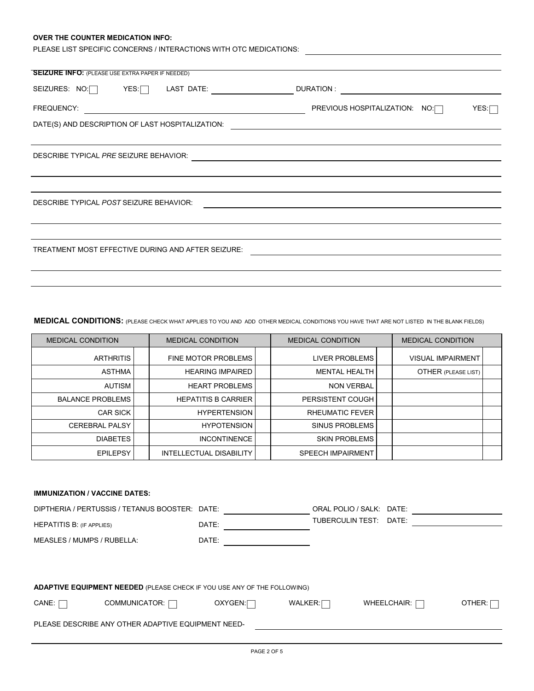## **OVER THE COUNTER MEDICATION INFO:**

| PLEASE LIST SPECIFIC CONCERNS / INTERACTIONS WITH OTC MEDICATIONS: |                                       |
|--------------------------------------------------------------------|---------------------------------------|
|                                                                    |                                       |
| <b>SEIZURE INFO:</b> (PLEASE USE EXTRA PAPER IF NEEDED)            |                                       |
| YES:<br>LAST DATE:<br>SEIZURES: NO:                                | DURATION:                             |
| FREQUENCY:                                                         | PREVIOUS HOSPITALIZATION: NO:<br>YES: |
| DATE(S) AND DESCRIPTION OF LAST HOSPITALIZATION:                   |                                       |
|                                                                    |                                       |
| DESCRIBE TYPICAL PRE SEIZURE BEHAVIOR:                             |                                       |
|                                                                    |                                       |
|                                                                    |                                       |
| DESCRIBE TYPICAL POST SEIZURE BEHAVIOR:                            |                                       |
|                                                                    |                                       |
|                                                                    |                                       |
| TREATMENT MOST EFFECTIVE DURING AND AFTER SEIZURE:                 |                                       |
|                                                                    |                                       |
|                                                                    |                                       |

**MEDICAL CONDITIONS:** (PLEASE CHECK WHAT APPLIES TO YOU AND ADD OTHER MEDICAL CONDITIONS YOU HAVE THAT ARE NOT LISTED IN THE BLANK FIELDS)

| <b>MEDICAL CONDITION</b> | <b>MEDICAL CONDITION</b>   | <b>MEDICAL CONDITION</b> | <b>MEDICAL CONDITION</b> |  |
|--------------------------|----------------------------|--------------------------|--------------------------|--|
| <b>ARTHRITIS</b>         | <b>FINE MOTOR PROBLEMS</b> | <b>LIVER PROBLEMS</b>    | <b>VISUAL IMPAIRMENT</b> |  |
| <b>ASTHMA</b>            | <b>HEARING IMPAIRED</b>    | <b>MENTAL HEALTH</b>     | OTHER (PLEASE LIST)      |  |
| <b>AUTISM</b>            | <b>HEART PROBLEMS</b>      | <b>NON VERBAL</b>        |                          |  |
| <b>BALANCE PROBLEMS</b>  | <b>HEPATITIS B CARRIER</b> | <b>PERSISTENT COUGH</b>  |                          |  |
| <b>CAR SICK</b>          | <b>HYPERTENSION</b>        | <b>RHEUMATIC FEVER</b>   |                          |  |
| <b>CEREBRAL PALSY</b>    | <b>HYPOTENSION</b>         | SINUS PROBLEMS           |                          |  |
| <b>DIABETES</b>          | <b>INCONTINENCE</b>        | <b>SKIN PROBLEMS</b>     |                          |  |
| <b>EPILEPSY</b>          | INTELLECTUAL DISABILITY    | <b>SPEECH IMPAIRMENT</b> |                          |  |

| <b>IMMUNIZATION / VACCINE DATES:</b>                                            |         |                          |                    |        |
|---------------------------------------------------------------------------------|---------|--------------------------|--------------------|--------|
| DIPTHERIA / PERTUSSIS / TETANUS BOOSTER: DATE:                                  |         | ORAL POLIO / SALK: DATE: |                    |        |
| <b>HEPATITIS B: (IF APPLIES)</b>                                                | DATE:   | TUBERCULIN TEST:         | DATE:              |        |
| MEASLES / MUMPS / RUBELLA:                                                      | DATE:   |                          |                    |        |
|                                                                                 |         |                          |                    |        |
|                                                                                 |         |                          |                    |        |
| <b>ADAPTIVE EQUIPMENT NEEDED</b> (PLEASE CHECK IF YOU USE ANY OF THE FOLLOWING) |         |                          |                    |        |
| CANE:<br>COMMUNICATOR: [                                                        | OXYGEN: | WALKER:                  | WHEELCHAIR: $\Box$ | OTHER: |
| PLEASE DESCRIBE ANY OTHER ADAPTIVE EQUIPMENT NEED-                              |         |                          |                    |        |
|                                                                                 |         |                          |                    |        |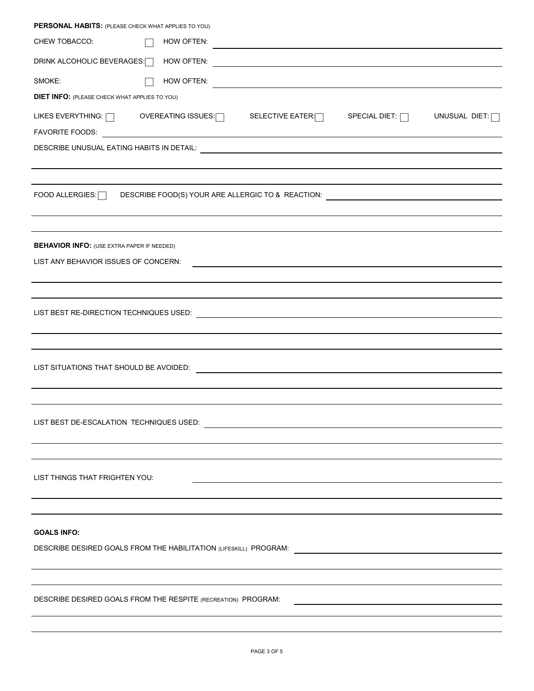| PERSONAL HABITS: (PLEASE CHECK WHAT APPLIES TO YOU)                                                                                                          |  |
|--------------------------------------------------------------------------------------------------------------------------------------------------------------|--|
| CHEW TOBACCO:<br>HOW OFTEN:                                                                                                                                  |  |
| DRINK ALCOHOLIC BEVERAGES:                                                                                                                                   |  |
| SMOKE:<br>HOW OFTEN:                                                                                                                                         |  |
| <b>DIET INFO: (PLEASE CHECK WHAT APPLIES TO YOU)</b>                                                                                                         |  |
| LIKES EVERYTHING: $\Box$ OVEREATING ISSUES: SELECTIVE EATER: $\Box$<br>SPECIAL DIET: $\Box$<br>UNUSUAL DIET: $\Box$                                          |  |
|                                                                                                                                                              |  |
|                                                                                                                                                              |  |
|                                                                                                                                                              |  |
| FOOD ALLERGIES: DESCRIBE FOOD(S) YOUR ARE ALLERGIC TO & REACTION: National ALLERGIES: DESCRIBE FOOD(S) YOUR ARE ALLERGIC TO & REACTION:                      |  |
|                                                                                                                                                              |  |
|                                                                                                                                                              |  |
| <b>BEHAVIOR INFO:</b> (USE EXTRA PAPER IF NEEDED)                                                                                                            |  |
| LIST ANY BEHAVIOR ISSUES OF CONCERN:<br><u> 1989 - Johann Stein, marwolaethau a bhann an t-Amhair an t-Amhair an t-Amhair an t-Amhair an t-Amhair an t-A</u> |  |
|                                                                                                                                                              |  |
| <u> 1989 - Andrea Andrew Maria (h. 1989).</u>                                                                                                                |  |
|                                                                                                                                                              |  |
|                                                                                                                                                              |  |
|                                                                                                                                                              |  |
|                                                                                                                                                              |  |
|                                                                                                                                                              |  |
|                                                                                                                                                              |  |
|                                                                                                                                                              |  |
|                                                                                                                                                              |  |
| LIST THINGS THAT FRIGHTEN YOU:                                                                                                                               |  |
|                                                                                                                                                              |  |
|                                                                                                                                                              |  |
|                                                                                                                                                              |  |
| <b>GOALS INFO:</b>                                                                                                                                           |  |
|                                                                                                                                                              |  |
|                                                                                                                                                              |  |
| DESCRIBE DESIRED GOALS FROM THE RESPITE (RECREATION) PROGRAM:                                                                                                |  |
|                                                                                                                                                              |  |